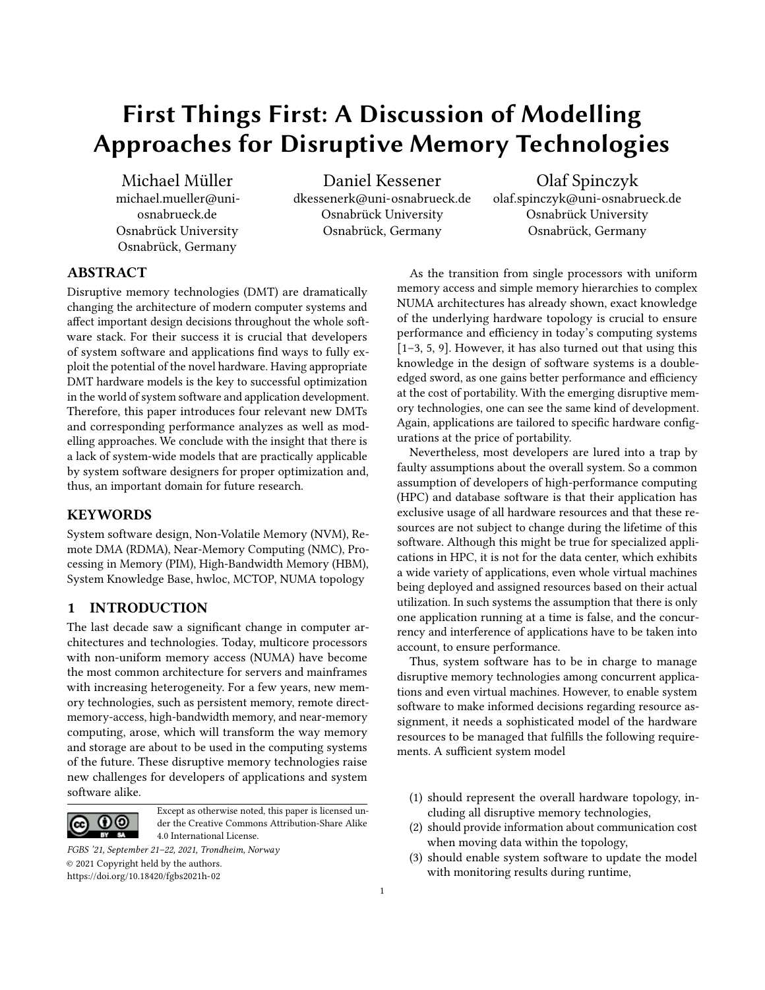# First Things First: A Discussion of Modelling Approaches for Disruptive Memory Technologies

Michael Müller michael.mueller@uniosnabrueck.de Osnabrück University Osnabrück, Germany

Daniel Kessener dkessenerk@uni-osnabrueck.de Osnabrück University Osnabrück, Germany

Olaf Spinczyk olaf.spinczyk@uni-osnabrueck.de Osnabrück University Osnabrück, Germany

# ABSTRACT

Disruptive memory technologies (DMT) are dramatically changing the architecture of modern computer systems and affect important design decisions throughout the whole software stack. For their success it is crucial that developers of system software and applications find ways to fully exploit the potential of the novel hardware. Having appropriate DMT hardware models is the key to successful optimization in the world of system software and application development. Therefore, this paper introduces four relevant new DMTs and corresponding performance analyzes as well as modelling approaches. We conclude with the insight that there is a lack of system-wide models that are practically applicable by system software designers for proper optimization and, thus, an important domain for future research.

# **KEYWORDS**

System software design, Non-Volatile Memory (NVM), Remote DMA (RDMA), Near-Memory Computing (NMC), Processing in Memory (PIM), High-Bandwidth Memory (HBM), System Knowledge Base, hwloc, MCTOP, NUMA topology

# <span id="page-0-0"></span>1 INTRODUCTION

The last decade saw a significant change in computer architectures and technologies. Today, multicore processors with non-uniform memory access (NUMA) have become the most common architecture for servers and mainframes with increasing heterogeneity. For a few years, new memory technologies, such as persistent memory, remote directmemory-access, high-bandwidth memory, and near-memory computing, arose, which will transform the way memory and storage are about to be used in the computing systems of the future. These disruptive memory technologies raise new challenges for developers of applications and system software alike.



Except as otherwise noted, this paper is licensed under the Creative Commons Attribution-Share Alike 4.0 International License.

FGBS '21, September 21–22, 2021, Trondheim, Norway © 2021 Copyright held by the authors. <https://doi.org/10.18420/fgbs2021h-02>

As the transition from single processors with uniform memory access and simple memory hierarchies to complex NUMA architectures has already shown, exact knowledge of the underlying hardware topology is crucial to ensure performance and efficiency in today's computing systems [\[1–](#page-3-0)[3,](#page-3-1) [5,](#page-3-2) [9\]](#page-3-3). However, it has also turned out that using this knowledge in the design of software systems is a doubleedged sword, as one gains better performance and efficiency at the cost of portability. With the emerging disruptive memory technologies, one can see the same kind of development. Again, applications are tailored to specific hardware configurations at the price of portability.

Nevertheless, most developers are lured into a trap by faulty assumptions about the overall system. So a common assumption of developers of high-performance computing (HPC) and database software is that their application has exclusive usage of all hardware resources and that these resources are not subject to change during the lifetime of this software. Although this might be true for specialized applications in HPC, it is not for the data center, which exhibits a wide variety of applications, even whole virtual machines being deployed and assigned resources based on their actual utilization. In such systems the assumption that there is only one application running at a time is false, and the concurrency and interference of applications have to be taken into account, to ensure performance.

Thus, system software has to be in charge to manage disruptive memory technologies among concurrent applications and even virtual machines. However, to enable system software to make informed decisions regarding resource assignment, it needs a sophisticated model of the hardware resources to be managed that fulfills the following requirements. A sufficient system model

- <span id="page-0-2"></span>(1) should represent the overall hardware topology, including all disruptive memory technologies,
- <span id="page-0-1"></span>(2) should provide information about communication cost when moving data within the topology,
- <span id="page-0-3"></span>(3) should enable system software to update the model with monitoring results during runtime,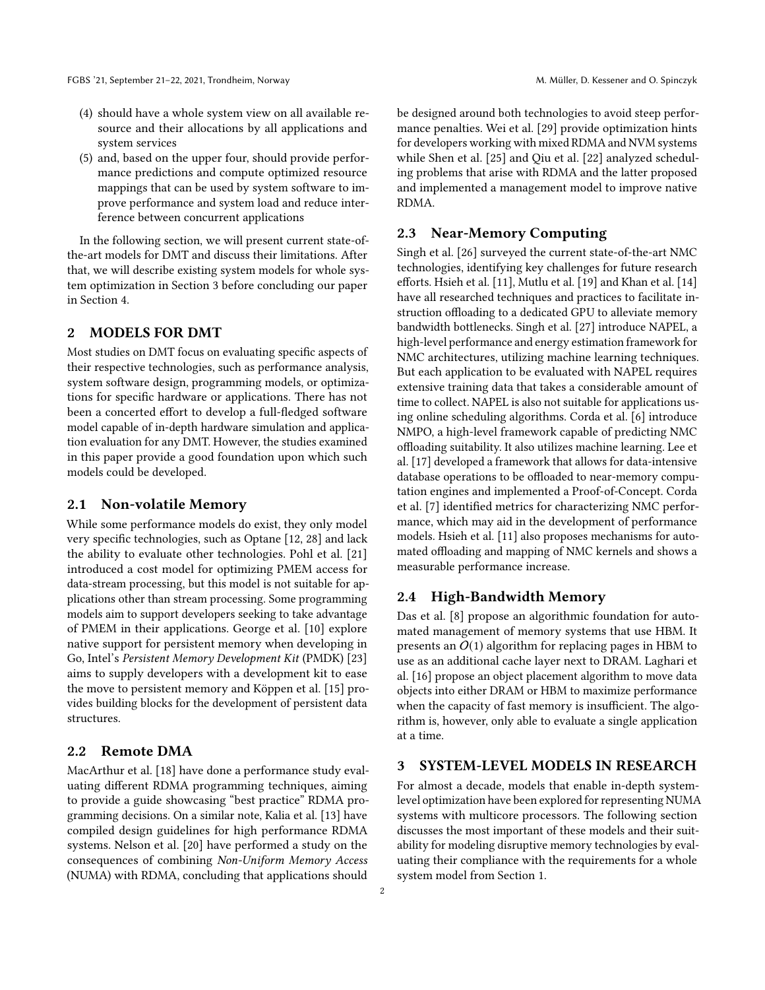- (4) should have a whole system view on all available resource and their allocations by all applications and system services
- <span id="page-1-0"></span>(5) and, based on the upper four, should provide performance predictions and compute optimized resource mappings that can be used by system software to improve performance and system load and reduce interference between concurrent applications

In the following section, we will present current state-ofthe-art models for DMT and discuss their limitations. After that, we will describe existing system models for whole system optimization in Section 3 before concluding our paper in Section 4.

# 2 MODELS FOR DMT

Most studies on DMT focus on evaluating specific aspects of their respective technologies, such as performance analysis, system software design, programming models, or optimizations for specific hardware or applications. There has not been a concerted effort to develop a full-fledged software model capable of in-depth hardware simulation and application evaluation for any DMT. However, the studies examined in this paper provide a good foundation upon which such models could be developed.

#### 2.1 Non-volatile Memory

While some performance models do exist, they only model very specific technologies, such as Optane [\[12,](#page-3-4) [28\]](#page-4-0) and lack the ability to evaluate other technologies. Pohl et al. [\[21\]](#page-4-1) introduced a cost model for optimizing PMEM access for data-stream processing, but this model is not suitable for applications other than stream processing. Some programming models aim to support developers seeking to take advantage of PMEM in their applications. George et al. [\[10\]](#page-3-5) explore native support for persistent memory when developing in Go, Intel's Persistent Memory Development Kit (PMDK) [\[23\]](#page-4-2) aims to supply developers with a development kit to ease the move to persistent memory and Köppen et al. [\[15\]](#page-3-6) provides building blocks for the development of persistent data structures.

# 2.2 Remote DMA

MacArthur et al. [\[18\]](#page-4-3) have done a performance study evaluating different RDMA programming techniques, aiming to provide a guide showcasing "best practice" RDMA programming decisions. On a similar note, Kalia et al. [\[13\]](#page-3-7) have compiled design guidelines for high performance RDMA systems. Nelson et al. [\[20\]](#page-4-4) have performed a study on the consequences of combining Non-Uniform Memory Access (NUMA) with RDMA, concluding that applications should

be designed around both technologies to avoid steep performance penalties. Wei et al. [\[29\]](#page-4-5) provide optimization hints for developers working with mixed RDMA and NVM systems while Shen et al. [\[25\]](#page-4-6) and Qiu et al. [\[22\]](#page-4-7) analyzed scheduling problems that arise with RDMA and the latter proposed and implemented a management model to improve native RDMA.

## 2.3 Near-Memory Computing

Singh et al. [\[26\]](#page-4-8) surveyed the current state-of-the-art NMC technologies, identifying key challenges for future research efforts. Hsieh et al. [\[11\]](#page-3-8), Mutlu et al. [\[19\]](#page-4-9) and Khan et al. [\[14\]](#page-3-9) have all researched techniques and practices to facilitate instruction offloading to a dedicated GPU to alleviate memory bandwidth bottlenecks. Singh et al. [\[27\]](#page-4-10) introduce NAPEL, a high-level performance and energy estimation framework for NMC architectures, utilizing machine learning techniques. But each application to be evaluated with NAPEL requires extensive training data that takes a considerable amount of time to collect. NAPEL is also not suitable for applications using online scheduling algorithms. Corda et al. [\[6\]](#page-3-10) introduce NMPO, a high-level framework capable of predicting NMC offloading suitability. It also utilizes machine learning. Lee et al. [\[17\]](#page-4-11) developed a framework that allows for data-intensive database operations to be offloaded to near-memory computation engines and implemented a Proof-of-Concept. Corda et al. [\[7\]](#page-3-11) identified metrics for characterizing NMC performance, which may aid in the development of performance models. Hsieh et al. [\[11\]](#page-3-8) also proposes mechanisms for automated offloading and mapping of NMC kernels and shows a measurable performance increase.

#### 2.4 High-Bandwidth Memory

Das et al. [\[8\]](#page-3-12) propose an algorithmic foundation for automated management of memory systems that use HBM. It presents an  $O(1)$  algorithm for replacing pages in HBM to use as an additional cache layer next to DRAM. Laghari et al. [\[16\]](#page-4-12) propose an object placement algorithm to move data objects into either DRAM or HBM to maximize performance when the capacity of fast memory is insufficient. The algorithm is, however, only able to evaluate a single application at a time.

#### 3 SYSTEM-LEVEL MODELS IN RESEARCH

For almost a decade, models that enable in-depth systemlevel optimization have been explored for representing NUMA systems with multicore processors. The following section discusses the most important of these models and their suitability for modeling disruptive memory technologies by evaluating their compliance with the requirements for a whole system model from Section [1.](#page-0-0)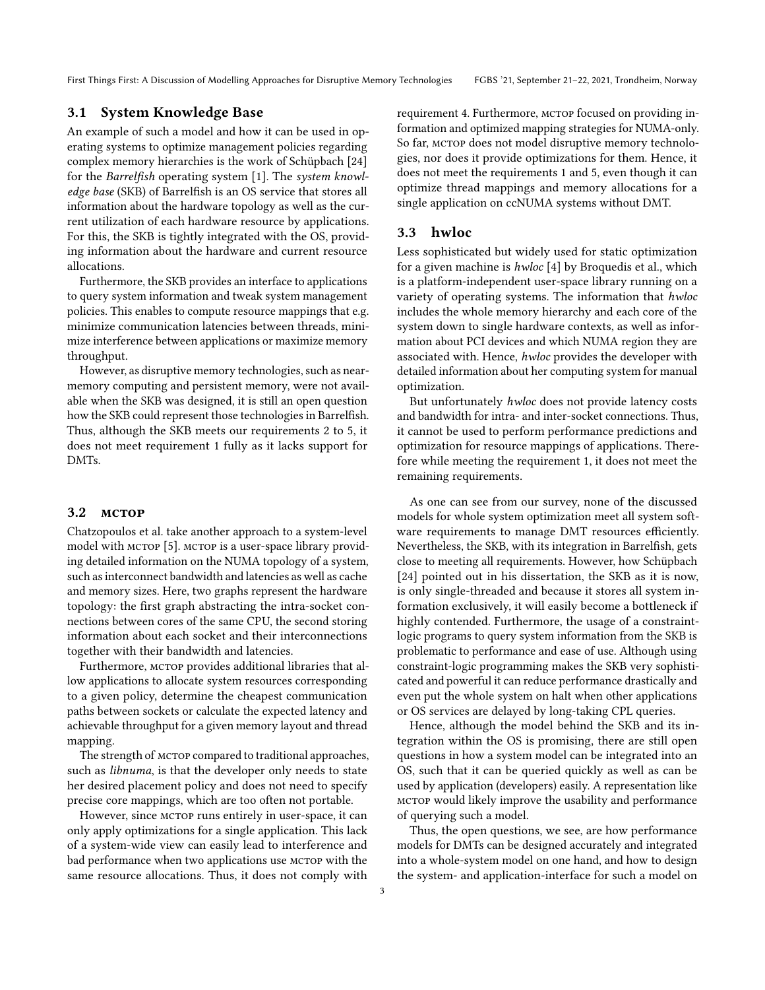First Things First: A Discussion of Modelling Approaches for Disruptive Memory Technologies FGBS '21, September 21-22, 2021, Trondheim, Norway

## 3.1 System Knowledge Base

An example of such a model and how it can be used in operating systems to optimize management policies regarding complex memory hierarchies is the work of Schüpbach [\[24\]](#page-4-13) for the Barrelfish operating system [\[1\]](#page-3-0). The system knowledge base (SKB) of Barrelfish is an OS service that stores all information about the hardware topology as well as the current utilization of each hardware resource by applications. For this, the SKB is tightly integrated with the OS, providing information about the hardware and current resource allocations.

Furthermore, the SKB provides an interface to applications to query system information and tweak system management policies. This enables to compute resource mappings that e.g. minimize communication latencies between threads, minimize interference between applications or maximize memory throughput.

However, as disruptive memory technologies, such as nearmemory computing and persistent memory, were not available when the SKB was designed, it is still an open question how the SKB could represent those technologies in Barrelfish. Thus, although the SKB meets our requirements [2](#page-0-1) to [5,](#page-1-0) it does not meet requirement [1](#page-0-2) fully as it lacks support for DMTs.

#### 3.2 MCTOP

Chatzopoulos et al. take another approach to a system-level model with MCTOP [\[5\]](#page-3-2). MCTOP is a user-space library providing detailed information on the NUMA topology of a system, such as interconnect bandwidth and latencies as well as cache and memory sizes. Here, two graphs represent the hardware topology: the first graph abstracting the intra-socket connections between cores of the same CPU, the second storing information about each socket and their interconnections together with their bandwidth and latencies.

Furthermore, MCTOP provides additional libraries that allow applications to allocate system resources corresponding to a given policy, determine the cheapest communication paths between sockets or calculate the expected latency and achievable throughput for a given memory layout and thread mapping.

The strength of MCTOP compared to traditional approaches, such as libnuma, is that the developer only needs to state her desired placement policy and does not need to specify precise core mappings, which are too often not portable.

However, since MCTOP runs entirely in user-space, it can only apply optimizations for a single application. This lack of a system-wide view can easily lead to interference and bad performance when two applications use MCTOP with the same resource allocations. Thus, it does not comply with

requirement [4.](#page-0-3) Furthermore, MCTOP focused on providing information and optimized mapping strategies for NUMA-only. So far, MCTOP does not model disruptive memory technologies, nor does it provide optimizations for them. Hence, it does not meet the requirements [1](#page-0-2) and [5,](#page-1-0) even though it can optimize thread mappings and memory allocations for a single application on ccNUMA systems without DMT.

## 3.3 hwloc

Less sophisticated but widely used for static optimization for a given machine is hwloc [\[4\]](#page-3-13) by Broquedis et al., which is a platform-independent user-space library running on a variety of operating systems. The information that hwloc includes the whole memory hierarchy and each core of the system down to single hardware contexts, as well as information about PCI devices and which NUMA region they are associated with. Hence, hwloc provides the developer with detailed information about her computing system for manual optimization.

But unfortunately hwloc does not provide latency costs and bandwidth for intra- and inter-socket connections. Thus, it cannot be used to perform performance predictions and optimization for resource mappings of applications. Therefore while meeting the requirement [1,](#page-0-2) it does not meet the remaining requirements.

As one can see from our survey, none of the discussed models for whole system optimization meet all system software requirements to manage DMT resources efficiently. Nevertheless, the SKB, with its integration in Barrelfish, gets close to meeting all requirements. However, how Schüpbach [\[24\]](#page-4-13) pointed out in his dissertation, the SKB as it is now, is only single-threaded and because it stores all system information exclusively, it will easily become a bottleneck if highly contended. Furthermore, the usage of a constraintlogic programs to query system information from the SKB is problematic to performance and ease of use. Although using constraint-logic programming makes the SKB very sophisticated and powerful it can reduce performance drastically and even put the whole system on halt when other applications or OS services are delayed by long-taking CPL queries.

Hence, although the model behind the SKB and its integration within the OS is promising, there are still open questions in how a system model can be integrated into an OS, such that it can be queried quickly as well as can be used by application (developers) easily. A representation like mctop would likely improve the usability and performance of querying such a model.

Thus, the open questions, we see, are how performance models for DMTs can be designed accurately and integrated into a whole-system model on one hand, and how to design the system- and application-interface for such a model on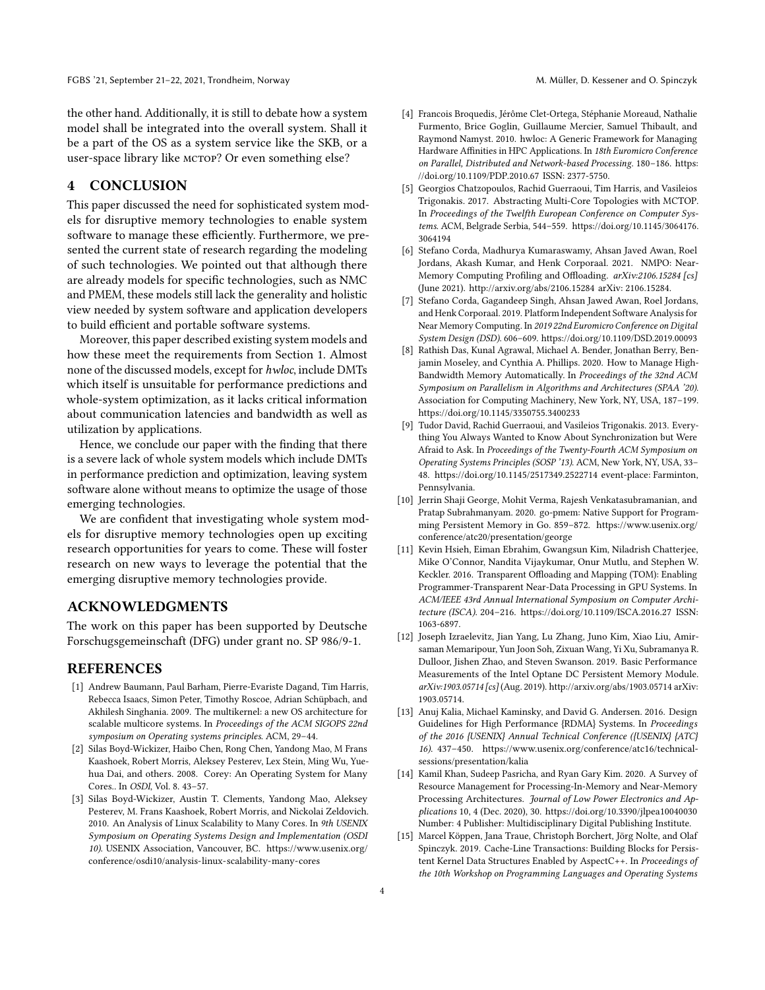the other hand. Additionally, it is still to debate how a system model shall be integrated into the overall system. Shall it be a part of the OS as a system service like the SKB, or a user-space library like MCTOP? Or even something else?

# 4 CONCLUSION

This paper discussed the need for sophisticated system models for disruptive memory technologies to enable system software to manage these efficiently. Furthermore, we presented the current state of research regarding the modeling of such technologies. We pointed out that although there are already models for specific technologies, such as NMC and PMEM, these models still lack the generality and holistic view needed by system software and application developers to build efficient and portable software systems.

Moreover, this paper described existing system models and how these meet the requirements from Section [1.](#page-0-0) Almost none of the discussed models, except for hwloc, include DMTs which itself is unsuitable for performance predictions and whole-system optimization, as it lacks critical information about communication latencies and bandwidth as well as utilization by applications.

Hence, we conclude our paper with the finding that there is a severe lack of whole system models which include DMTs in performance prediction and optimization, leaving system software alone without means to optimize the usage of those emerging technologies.

We are confident that investigating whole system models for disruptive memory technologies open up exciting research opportunities for years to come. These will foster research on new ways to leverage the potential that the emerging disruptive memory technologies provide.

#### ACKNOWLEDGMENTS

The work on this paper has been supported by Deutsche Forschugsgemeinschaft (DFG) under grant no. SP 986/9-1.

#### REFERENCES

- <span id="page-3-0"></span>[1] Andrew Baumann, Paul Barham, Pierre-Evariste Dagand, Tim Harris, Rebecca Isaacs, Simon Peter, Timothy Roscoe, Adrian Schüpbach, and Akhilesh Singhania. 2009. The multikernel: a new OS architecture for scalable multicore systems. In Proceedings of the ACM SIGOPS 22nd symposium on Operating systems principles. ACM, 29–44.
- [2] Silas Boyd-Wickizer, Haibo Chen, Rong Chen, Yandong Mao, M Frans Kaashoek, Robert Morris, Aleksey Pesterev, Lex Stein, Ming Wu, Yuehua Dai, and others. 2008. Corey: An Operating System for Many Cores.. In OSDI, Vol. 8. 43–57.
- <span id="page-3-1"></span>[3] Silas Boyd-Wickizer, Austin T. Clements, Yandong Mao, Aleksey Pesterev, M. Frans Kaashoek, Robert Morris, and Nickolai Zeldovich. 2010. An Analysis of Linux Scalability to Many Cores. In 9th USENIX Symposium on Operating Systems Design and Implementation (OSDI 10). USENIX Association, Vancouver, BC. [https://www.usenix.org/](https://www.usenix.org/conference/osdi10/analysis-linux-scalability-many-cores) [conference/osdi10/analysis-linux-scalability-many-cores](https://www.usenix.org/conference/osdi10/analysis-linux-scalability-many-cores)
- <span id="page-3-13"></span>[4] Francois Broquedis, Jérôme Clet-Ortega, Stéphanie Moreaud, Nathalie Furmento, Brice Goglin, Guillaume Mercier, Samuel Thibault, and Raymond Namyst. 2010. hwloc: A Generic Framework for Managing Hardware Affinities in HPC Applications. In 18th Euromicro Conference on Parallel, Distributed and Network-based Processing. 180–186. [https:](https://doi.org/10.1109/PDP.2010.67) [//doi.org/10.1109/PDP.2010.67](https://doi.org/10.1109/PDP.2010.67) ISSN: 2377-5750.
- <span id="page-3-2"></span>[5] Georgios Chatzopoulos, Rachid Guerraoui, Tim Harris, and Vasileios Trigonakis. 2017. Abstracting Multi-Core Topologies with MCTOP. In Proceedings of the Twelfth European Conference on Computer Systems. ACM, Belgrade Serbia, 544–559. [https://doi.org/10.1145/3064176.](https://doi.org/10.1145/3064176.3064194) [3064194](https://doi.org/10.1145/3064176.3064194)
- <span id="page-3-10"></span>[6] Stefano Corda, Madhurya Kumaraswamy, Ahsan Javed Awan, Roel Jordans, Akash Kumar, and Henk Corporaal. 2021. NMPO: Near-Memory Computing Profiling and Offloading. arXiv:2106.15284 [cs] (June 2021).<http://arxiv.org/abs/2106.15284> arXiv: 2106.15284.
- <span id="page-3-11"></span>[7] Stefano Corda, Gagandeep Singh, Ahsan Jawed Awan, Roel Jordans, and Henk Corporaal. 2019. Platform Independent Software Analysis for Near Memory Computing. In 2019 22nd Euromicro Conference on Digital System Design (DSD). 606–609.<https://doi.org/10.1109/DSD.2019.00093>
- <span id="page-3-12"></span>[8] Rathish Das, Kunal Agrawal, Michael A. Bender, Jonathan Berry, Benjamin Moseley, and Cynthia A. Phillips. 2020. How to Manage High-Bandwidth Memory Automatically. In Proceedings of the 32nd ACM Symposium on Parallelism in Algorithms and Architectures (SPAA '20). Association for Computing Machinery, New York, NY, USA, 187–199. <https://doi.org/10.1145/3350755.3400233>
- <span id="page-3-3"></span>[9] Tudor David, Rachid Guerraoui, and Vasileios Trigonakis. 2013. Everything You Always Wanted to Know About Synchronization but Were Afraid to Ask. In Proceedings of the Twenty-Fourth ACM Symposium on Operating Systems Principles (SOSP '13). ACM, New York, NY, USA, 33– 48.<https://doi.org/10.1145/2517349.2522714> event-place: Farminton, Pennsylvania.
- <span id="page-3-5"></span>[10] Jerrin Shaji George, Mohit Verma, Rajesh Venkatasubramanian, and Pratap Subrahmanyam. 2020. go-pmem: Native Support for Programming Persistent Memory in Go. 859–872. [https://www.usenix.org/](https://www.usenix.org/conference/atc20/presentation/george) [conference/atc20/presentation/george](https://www.usenix.org/conference/atc20/presentation/george)
- <span id="page-3-8"></span>[11] Kevin Hsieh, Eiman Ebrahim, Gwangsun Kim, Niladrish Chatterjee, Mike O'Connor, Nandita Vijaykumar, Onur Mutlu, and Stephen W. Keckler. 2016. Transparent Offloading and Mapping (TOM): Enabling Programmer-Transparent Near-Data Processing in GPU Systems. In ACM/IEEE 43rd Annual International Symposium on Computer Architecture (ISCA). 204–216.<https://doi.org/10.1109/ISCA.2016.27> ISSN: 1063-6897.
- <span id="page-3-4"></span>[12] Joseph Izraelevitz, Jian Yang, Lu Zhang, Juno Kim, Xiao Liu, Amirsaman Memaripour, Yun Joon Soh, Zixuan Wang, Yi Xu, Subramanya R. Dulloor, Jishen Zhao, and Steven Swanson. 2019. Basic Performance Measurements of the Intel Optane DC Persistent Memory Module. arXiv:1903.05714 [cs] (Aug. 2019).<http://arxiv.org/abs/1903.05714> arXiv: 1903.05714.
- <span id="page-3-7"></span>[13] Anuj Kalia, Michael Kaminsky, and David G. Andersen. 2016. Design Guidelines for High Performance {RDMA} Systems. In Proceedings of the 2016 {USENIX} Annual Technical Conference ({USENIX} {ATC} 16). 437–450. [https://www.usenix.org/conference/atc16/technical](https://www.usenix.org/conference/atc16/technical-sessions/presentation/kalia)[sessions/presentation/kalia](https://www.usenix.org/conference/atc16/technical-sessions/presentation/kalia)
- <span id="page-3-9"></span>[14] Kamil Khan, Sudeep Pasricha, and Ryan Gary Kim. 2020. A Survey of Resource Management for Processing-In-Memory and Near-Memory Processing Architectures. Journal of Low Power Electronics and Applications 10, 4 (Dec. 2020), 30.<https://doi.org/10.3390/jlpea10040030> Number: 4 Publisher: Multidisciplinary Digital Publishing Institute.
- <span id="page-3-6"></span>[15] Marcel Köppen, Jana Traue, Christoph Borchert, Jörg Nolte, and Olaf Spinczyk. 2019. Cache-Line Transactions: Building Blocks for Persistent Kernel Data Structures Enabled by AspectC++. In Proceedings of the 10th Workshop on Programming Languages and Operating Systems